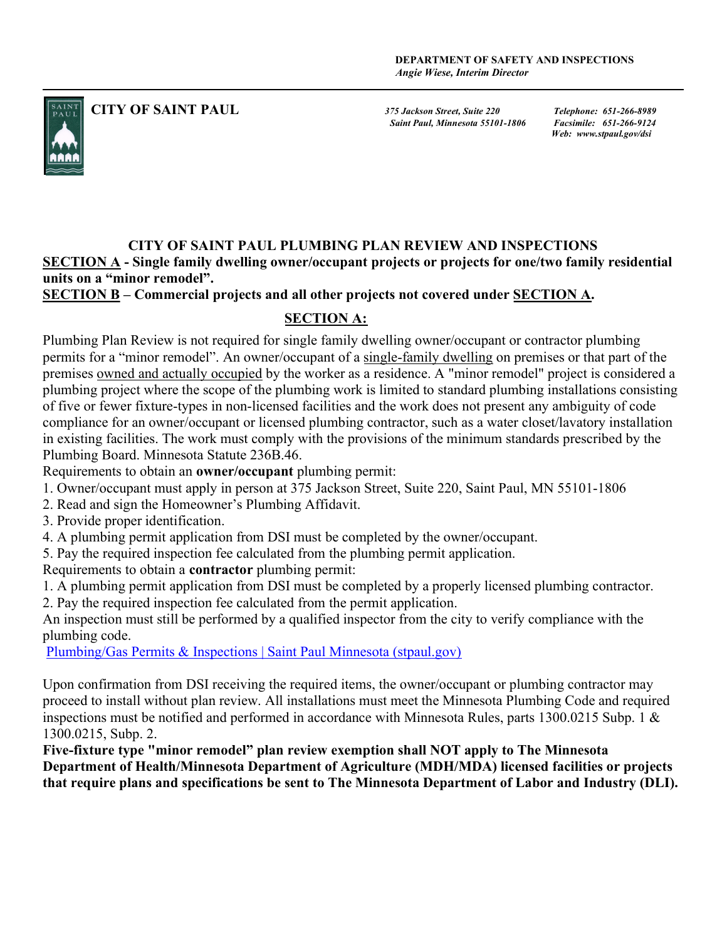

CITY OF SAINT PAUL<br>375 Jackson Street, Suite 220 Telephone: 651-266-8989<br>Saint Paul. Minnesota 55101-1806 Facsimile: 651-266-9124 Saint Paul, Minnesota 55101-1806

Web: www.stpaul.gov/dsi

# CITY OF SAINT PAUL PLUMBING PLAN REVIEW AND INSPECTIONS

SECTION A - Single family dwelling owner/occupant projects or projects for one/two family residential units on a "minor remodel".

SECTION B – Commercial projects and all other projects not covered under SECTION A.

## SECTION A:

Plumbing Plan Review is not required for single family dwelling owner/occupant or contractor plumbing permits for a "minor remodel". An owner/occupant of a single-family dwelling on premises or that part of the premises owned and actually occupied by the worker as a residence. A "minor remodel" project is considered a plumbing project where the scope of the plumbing work is limited to standard plumbing installations consisting of five or fewer fixture-types in non-licensed facilities and the work does not present any ambiguity of code compliance for an owner/occupant or licensed plumbing contractor, such as a water closet/lavatory installation in existing facilities. The work must comply with the provisions of the minimum standards prescribed by the Plumbing Board. Minnesota Statute 236B.46.

Requirements to obtain an owner/occupant plumbing permit:

- 1. Owner/occupant must apply in person at 375 Jackson Street, Suite 220, Saint Paul, MN 55101-1806
- 2. Read and sign the Homeowner's Plumbing Affidavit.
- 3. Provide proper identification.
- 4. A plumbing permit application from DSI must be completed by the owner/occupant.
- 5. Pay the required inspection fee calculated from the plumbing permit application.
- Requirements to obtain a contractor plumbing permit:
- 1. A plumbing permit application from DSI must be completed by a properly licensed plumbing contractor.
- 2. Pay the required inspection fee calculated from the permit application.

An inspection must still be performed by a qualified inspector from the city to verify compliance with the plumbing code.

Plumbing/Gas Permits & Inspections | Saint Paul Minnesota (stpaul.gov)

Upon confirmation from DSI receiving the required items, the owner/occupant or plumbing contractor may proceed to install without plan review. All installations must meet the Minnesota Plumbing Code and required inspections must be notified and performed in accordance with Minnesota Rules, parts 1300.0215 Subp. 1 & 1300.0215, Subp. 2.

Five-fixture type "minor remodel" plan review exemption shall NOT apply to The Minnesota Department of Health/Minnesota Department of Agriculture (MDH/MDA) licensed facilities or projects that require plans and specifications be sent to The Minnesota Department of Labor and Industry (DLI).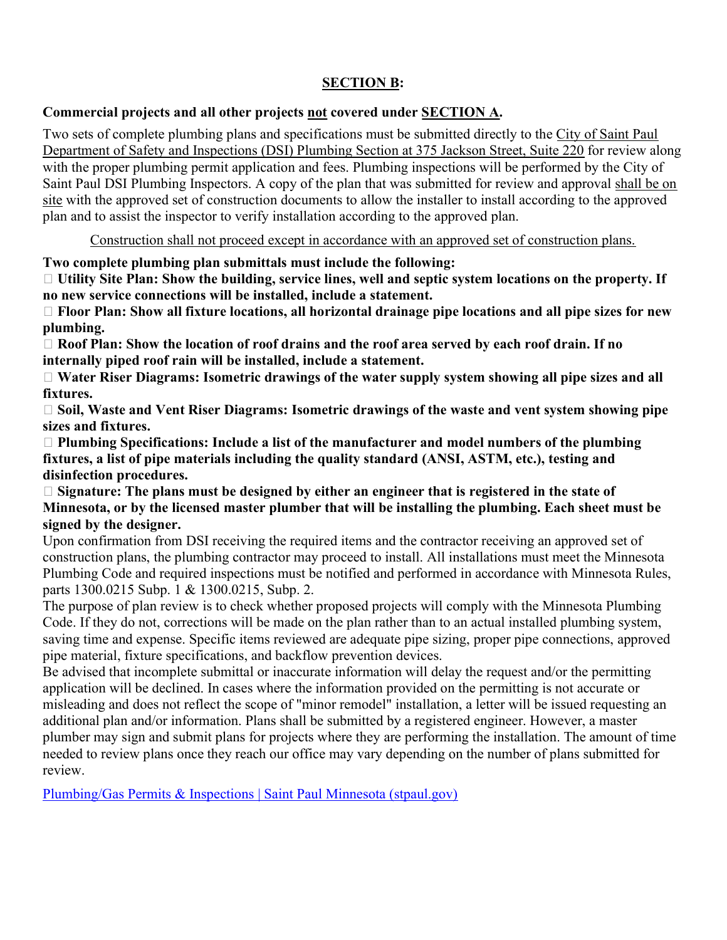## SECTION B:

#### Commercial projects and all other projects not covered under SECTION A.

Two sets of complete plumbing plans and specifications must be submitted directly to the City of Saint Paul Department of Safety and Inspections (DSI) Plumbing Section at 375 Jackson Street, Suite 220 for review along with the proper plumbing permit application and fees. Plumbing inspections will be performed by the City of Saint Paul DSI Plumbing Inspectors. A copy of the plan that was submitted for review and approval shall be on site with the approved set of construction documents to allow the installer to install according to the approved plan and to assist the inspector to verify installation according to the approved plan.

Construction shall not proceed except in accordance with an approved set of construction plans.

Two complete plumbing plan submittals must include the following:

 Utility Site Plan: Show the building, service lines, well and septic system locations on the property. If no new service connections will be installed, include a statement.

 $\Box$  Floor Plan: Show all fixture locations, all horizontal drainage pipe locations and all pipe sizes for new plumbing.

 $\Box$  Roof Plan: Show the location of roof drains and the roof area served by each roof drain. If no internally piped roof rain will be installed, include a statement.

 $\Box$  Water Riser Diagrams: Isometric drawings of the water supply system showing all pipe sizes and all fixtures.

 $\Box$  Soil, Waste and Vent Riser Diagrams: Isometric drawings of the waste and vent system showing pipe sizes and fixtures.

 $\Box$  Plumbing Specifications: Include a list of the manufacturer and model numbers of the plumbing fixtures, a list of pipe materials including the quality standard (ANSI, ASTM, etc.), testing and disinfection procedures.

 $\Box$  Signature: The plans must be designed by either an engineer that is registered in the state of Minnesota, or by the licensed master plumber that will be installing the plumbing. Each sheet must be signed by the designer.

Upon confirmation from DSI receiving the required items and the contractor receiving an approved set of construction plans, the plumbing contractor may proceed to install. All installations must meet the Minnesota Plumbing Code and required inspections must be notified and performed in accordance with Minnesota Rules, parts 1300.0215 Subp. 1 & 1300.0215, Subp. 2.

The purpose of plan review is to check whether proposed projects will comply with the Minnesota Plumbing Code. If they do not, corrections will be made on the plan rather than to an actual installed plumbing system, saving time and expense. Specific items reviewed are adequate pipe sizing, proper pipe connections, approved pipe material, fixture specifications, and backflow prevention devices.

Be advised that incomplete submittal or inaccurate information will delay the request and/or the permitting application will be declined. In cases where the information provided on the permitting is not accurate or misleading and does not reflect the scope of "minor remodel" installation, a letter will be issued requesting an additional plan and/or information. Plans shall be submitted by a registered engineer. However, a master plumber may sign and submit plans for projects where they are performing the installation. The amount of time needed to review plans once they reach our office may vary depending on the number of plans submitted for review.

Plumbing/Gas Permits & Inspections | Saint Paul Minnesota (stpaul.gov)